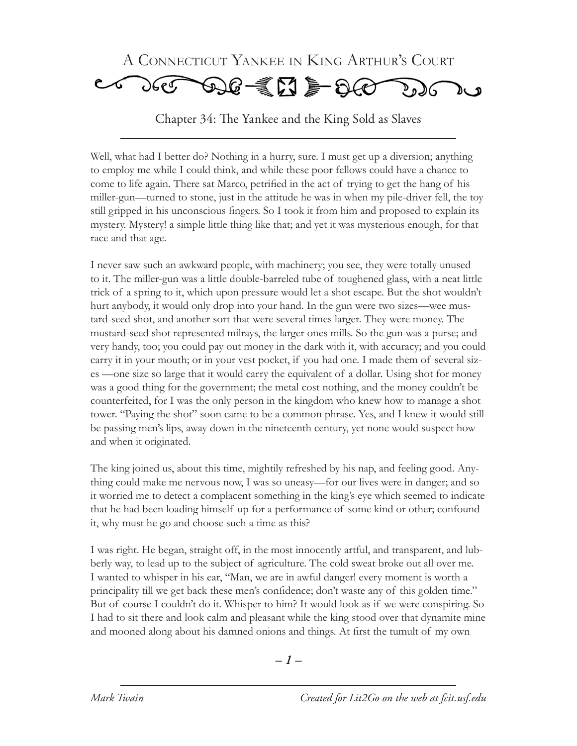

Chapter 34: The Yankee and the King Sold as Slaves

Well, what had I better do? Nothing in a hurry, sure. I must get up a diversion; anything to employ me while I could think, and while these poor fellows could have a chance to come to life again. There sat Marco, petrified in the act of trying to get the hang of his miller-gun—turned to stone, just in the attitude he was in when my pile-driver fell, the toy still gripped in his unconscious fingers. So I took it from him and proposed to explain its mystery. Mystery! a simple little thing like that; and yet it was mysterious enough, for that race and that age.

I never saw such an awkward people, with machinery; you see, they were totally unused to it. The miller-gun was a little double-barreled tube of toughened glass, with a neat little trick of a spring to it, which upon pressure would let a shot escape. But the shot wouldn't hurt anybody, it would only drop into your hand. In the gun were two sizes—wee mustard-seed shot, and another sort that were several times larger. They were money. The mustard-seed shot represented milrays, the larger ones mills. So the gun was a purse; and very handy, too; you could pay out money in the dark with it, with accuracy; and you could carry it in your mouth; or in your vest pocket, if you had one. I made them of several sizes —one size so large that it would carry the equivalent of a dollar. Using shot for money was a good thing for the government; the metal cost nothing, and the money couldn't be counterfeited, for I was the only person in the kingdom who knew how to manage a shot tower. "Paying the shot" soon came to be a common phrase. Yes, and I knew it would still be passing men's lips, away down in the nineteenth century, yet none would suspect how and when it originated.

The king joined us, about this time, mightily refreshed by his nap, and feeling good. Anything could make me nervous now, I was so uneasy—for our lives were in danger; and so it worried me to detect a complacent something in the king's eye which seemed to indicate that he had been loading himself up for a performance of some kind or other; confound it, why must he go and choose such a time as this?

I was right. He began, straight off, in the most innocently artful, and transparent, and lubberly way, to lead up to the subject of agriculture. The cold sweat broke out all over me. I wanted to whisper in his ear, "Man, we are in awful danger! every moment is worth a principality till we get back these men's confidence; don't waste any of this golden time." But of course I couldn't do it. Whisper to him? It would look as if we were conspiring. So I had to sit there and look calm and pleasant while the king stood over that dynamite mine and mooned along about his damned onions and things. At first the tumult of my own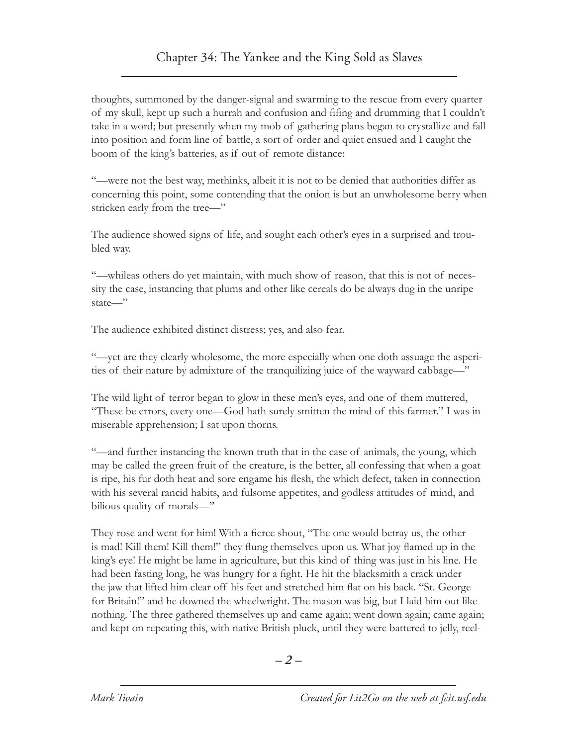thoughts, summoned by the danger-signal and swarming to the rescue from every quarter of my skull, kept up such a hurrah and confusion and fifing and drumming that I couldn't take in a word; but presently when my mob of gathering plans began to crystallize and fall into position and form line of battle, a sort of order and quiet ensued and I caught the boom of the king's batteries, as if out of remote distance:

"—were not the best way, methinks, albeit it is not to be denied that authorities differ as concerning this point, some contending that the onion is but an unwholesome berry when stricken early from the tree—"

The audience showed signs of life, and sought each other's eyes in a surprised and troubled way.

"—whileas others do yet maintain, with much show of reason, that this is not of necessity the case, instancing that plums and other like cereals do be always dug in the unripe state—"

The audience exhibited distinct distress; yes, and also fear.

"—yet are they clearly wholesome, the more especially when one doth assuage the asperities of their nature by admixture of the tranquilizing juice of the wayward cabbage—"

The wild light of terror began to glow in these men's eyes, and one of them muttered, "These be errors, every one—God hath surely smitten the mind of this farmer." I was in miserable apprehension; I sat upon thorns.

"—and further instancing the known truth that in the case of animals, the young, which may be called the green fruit of the creature, is the better, all confessing that when a goat is ripe, his fur doth heat and sore engame his flesh, the which defect, taken in connection with his several rancid habits, and fulsome appetites, and godless attitudes of mind, and bilious quality of morals—"

They rose and went for him! With a fierce shout, "The one would betray us, the other is mad! Kill them! Kill them!" they flung themselves upon us. What joy flamed up in the king's eye! He might be lame in agriculture, but this kind of thing was just in his line. He had been fasting long, he was hungry for a fight. He hit the blacksmith a crack under the jaw that lifted him clear off his feet and stretched him flat on his back. "St. George for Britain!" and he downed the wheelwright. The mason was big, but I laid him out like nothing. The three gathered themselves up and came again; went down again; came again; and kept on repeating this, with native British pluck, until they were battered to jelly, reel-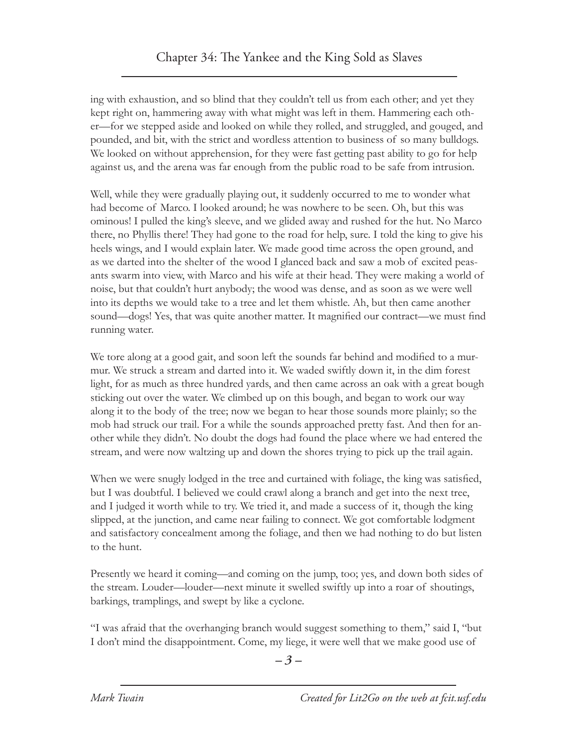ing with exhaustion, and so blind that they couldn't tell us from each other; and yet they kept right on, hammering away with what might was left in them. Hammering each other—for we stepped aside and looked on while they rolled, and struggled, and gouged, and pounded, and bit, with the strict and wordless attention to business of so many bulldogs. We looked on without apprehension, for they were fast getting past ability to go for help against us, and the arena was far enough from the public road to be safe from intrusion.

Well, while they were gradually playing out, it suddenly occurred to me to wonder what had become of Marco. I looked around; he was nowhere to be seen. Oh, but this was ominous! I pulled the king's sleeve, and we glided away and rushed for the hut. No Marco there, no Phyllis there! They had gone to the road for help, sure. I told the king to give his heels wings, and I would explain later. We made good time across the open ground, and as we darted into the shelter of the wood I glanced back and saw a mob of excited peasants swarm into view, with Marco and his wife at their head. They were making a world of noise, but that couldn't hurt anybody; the wood was dense, and as soon as we were well into its depths we would take to a tree and let them whistle. Ah, but then came another sound—dogs! Yes, that was quite another matter. It magnified our contract—we must find running water.

We tore along at a good gait, and soon left the sounds far behind and modified to a murmur. We struck a stream and darted into it. We waded swiftly down it, in the dim forest light, for as much as three hundred yards, and then came across an oak with a great bough sticking out over the water. We climbed up on this bough, and began to work our way along it to the body of the tree; now we began to hear those sounds more plainly; so the mob had struck our trail. For a while the sounds approached pretty fast. And then for another while they didn't. No doubt the dogs had found the place where we had entered the stream, and were now waltzing up and down the shores trying to pick up the trail again.

When we were snugly lodged in the tree and curtained with foliage, the king was satisfied, but I was doubtful. I believed we could crawl along a branch and get into the next tree, and I judged it worth while to try. We tried it, and made a success of it, though the king slipped, at the junction, and came near failing to connect. We got comfortable lodgment and satisfactory concealment among the foliage, and then we had nothing to do but listen to the hunt.

Presently we heard it coming—and coming on the jump, too; yes, and down both sides of the stream. Louder—louder—next minute it swelled swiftly up into a roar of shoutings, barkings, tramplings, and swept by like a cyclone.

"I was afraid that the overhanging branch would suggest something to them," said I, "but I don't mind the disappointment. Come, my liege, it were well that we make good use of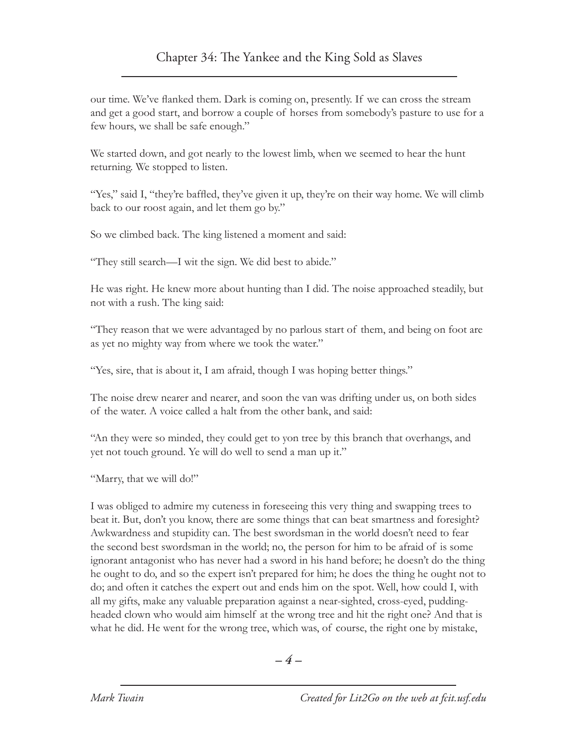our time. We've flanked them. Dark is coming on, presently. If we can cross the stream and get a good start, and borrow a couple of horses from somebody's pasture to use for a few hours, we shall be safe enough."

We started down, and got nearly to the lowest limb, when we seemed to hear the hunt returning. We stopped to listen.

"Yes," said I, "they're baffled, they've given it up, they're on their way home. We will climb back to our roost again, and let them go by."

So we climbed back. The king listened a moment and said:

"They still search—I wit the sign. We did best to abide."

He was right. He knew more about hunting than I did. The noise approached steadily, but not with a rush. The king said:

"They reason that we were advantaged by no parlous start of them, and being on foot are as yet no mighty way from where we took the water."

"Yes, sire, that is about it, I am afraid, though I was hoping better things."

The noise drew nearer and nearer, and soon the van was drifting under us, on both sides of the water. A voice called a halt from the other bank, and said:

"An they were so minded, they could get to yon tree by this branch that overhangs, and yet not touch ground. Ye will do well to send a man up it."

"Marry, that we will do!"

I was obliged to admire my cuteness in foreseeing this very thing and swapping trees to beat it. But, don't you know, there are some things that can beat smartness and foresight? Awkwardness and stupidity can. The best swordsman in the world doesn't need to fear the second best swordsman in the world; no, the person for him to be afraid of is some ignorant antagonist who has never had a sword in his hand before; he doesn't do the thing he ought to do, and so the expert isn't prepared for him; he does the thing he ought not to do; and often it catches the expert out and ends him on the spot. Well, how could I, with all my gifts, make any valuable preparation against a near-sighted, cross-eyed, puddingheaded clown who would aim himself at the wrong tree and hit the right one? And that is what he did. He went for the wrong tree, which was, of course, the right one by mistake,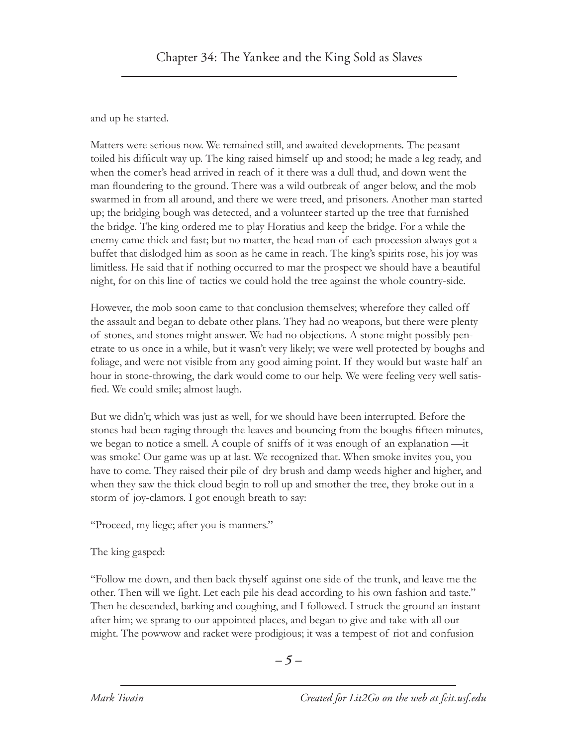and up he started.

Matters were serious now. We remained still, and awaited developments. The peasant toiled his difficult way up. The king raised himself up and stood; he made a leg ready, and when the comer's head arrived in reach of it there was a dull thud, and down went the man floundering to the ground. There was a wild outbreak of anger below, and the mob swarmed in from all around, and there we were treed, and prisoners. Another man started up; the bridging bough was detected, and a volunteer started up the tree that furnished the bridge. The king ordered me to play Horatius and keep the bridge. For a while the enemy came thick and fast; but no matter, the head man of each procession always got a buffet that dislodged him as soon as he came in reach. The king's spirits rose, his joy was limitless. He said that if nothing occurred to mar the prospect we should have a beautiful night, for on this line of tactics we could hold the tree against the whole country-side.

However, the mob soon came to that conclusion themselves; wherefore they called off the assault and began to debate other plans. They had no weapons, but there were plenty of stones, and stones might answer. We had no objections. A stone might possibly penetrate to us once in a while, but it wasn't very likely; we were well protected by boughs and foliage, and were not visible from any good aiming point. If they would but waste half an hour in stone-throwing, the dark would come to our help. We were feeling very well satisfied. We could smile; almost laugh.

But we didn't; which was just as well, for we should have been interrupted. Before the stones had been raging through the leaves and bouncing from the boughs fifteen minutes, we began to notice a smell. A couple of sniffs of it was enough of an explanation —it was smoke! Our game was up at last. We recognized that. When smoke invites you, you have to come. They raised their pile of dry brush and damp weeds higher and higher, and when they saw the thick cloud begin to roll up and smother the tree, they broke out in a storm of joy-clamors. I got enough breath to say:

"Proceed, my liege; after you is manners."

The king gasped:

"Follow me down, and then back thyself against one side of the trunk, and leave me the other. Then will we fight. Let each pile his dead according to his own fashion and taste." Then he descended, barking and coughing, and I followed. I struck the ground an instant after him; we sprang to our appointed places, and began to give and take with all our might. The powwow and racket were prodigious; it was a tempest of riot and confusion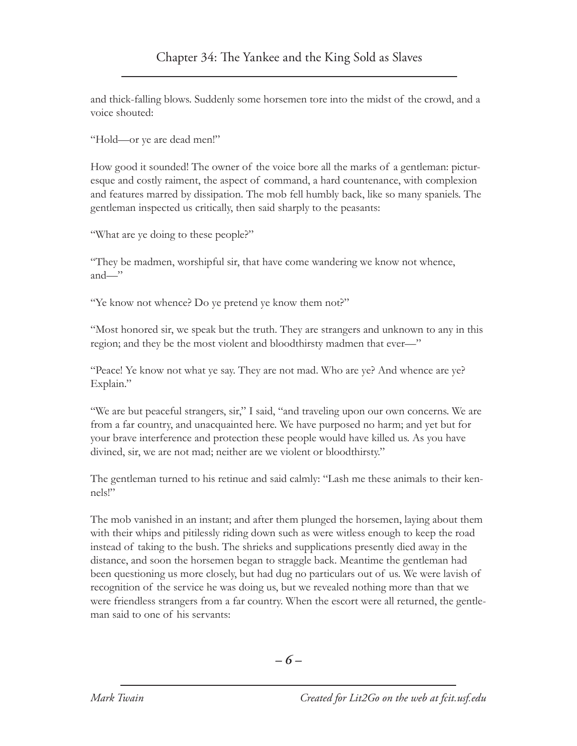and thick-falling blows. Suddenly some horsemen tore into the midst of the crowd, and a voice shouted:

"Hold—or ye are dead men!"

How good it sounded! The owner of the voice bore all the marks of a gentleman: picturesque and costly raiment, the aspect of command, a hard countenance, with complexion and features marred by dissipation. The mob fell humbly back, like so many spaniels. The gentleman inspected us critically, then said sharply to the peasants:

"What are ye doing to these people?"

"They be madmen, worshipful sir, that have come wandering we know not whence, and—"

"Ye know not whence? Do ye pretend ye know them not?"

"Most honored sir, we speak but the truth. They are strangers and unknown to any in this region; and they be the most violent and bloodthirsty madmen that ever—"

"Peace! Ye know not what ye say. They are not mad. Who are ye? And whence are ye? Explain."

"We are but peaceful strangers, sir," I said, "and traveling upon our own concerns. We are from a far country, and unacquainted here. We have purposed no harm; and yet but for your brave interference and protection these people would have killed us. As you have divined, sir, we are not mad; neither are we violent or bloodthirsty."

The gentleman turned to his retinue and said calmly: "Lash me these animals to their kennels!"

The mob vanished in an instant; and after them plunged the horsemen, laying about them with their whips and pitilessly riding down such as were witless enough to keep the road instead of taking to the bush. The shrieks and supplications presently died away in the distance, and soon the horsemen began to straggle back. Meantime the gentleman had been questioning us more closely, but had dug no particulars out of us. We were lavish of recognition of the service he was doing us, but we revealed nothing more than that we were friendless strangers from a far country. When the escort were all returned, the gentleman said to one of his servants: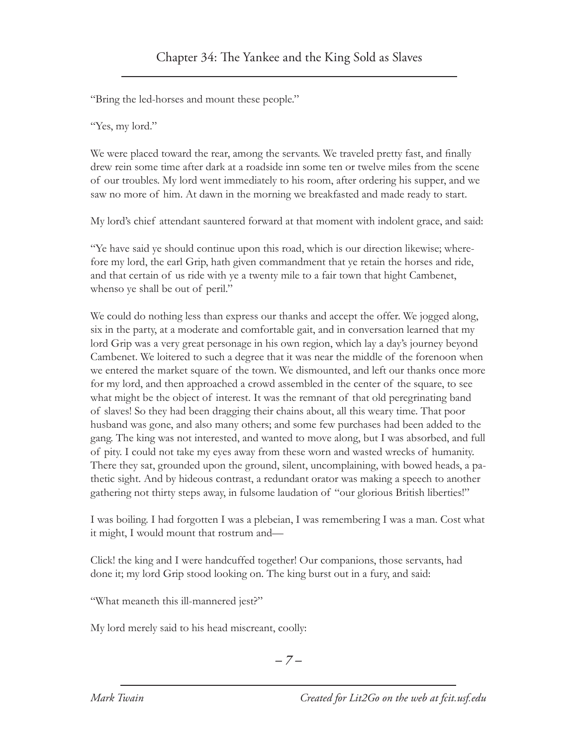"Bring the led-horses and mount these people."

"Yes, my lord."

We were placed toward the rear, among the servants. We traveled pretty fast, and finally drew rein some time after dark at a roadside inn some ten or twelve miles from the scene of our troubles. My lord went immediately to his room, after ordering his supper, and we saw no more of him. At dawn in the morning we breakfasted and made ready to start.

My lord's chief attendant sauntered forward at that moment with indolent grace, and said:

"Ye have said ye should continue upon this road, which is our direction likewise; wherefore my lord, the earl Grip, hath given commandment that ye retain the horses and ride, and that certain of us ride with ye a twenty mile to a fair town that hight Cambenet, whenso ye shall be out of peril."

We could do nothing less than express our thanks and accept the offer. We jogged along, six in the party, at a moderate and comfortable gait, and in conversation learned that my lord Grip was a very great personage in his own region, which lay a day's journey beyond Cambenet. We loitered to such a degree that it was near the middle of the forenoon when we entered the market square of the town. We dismounted, and left our thanks once more for my lord, and then approached a crowd assembled in the center of the square, to see what might be the object of interest. It was the remnant of that old peregrinating band of slaves! So they had been dragging their chains about, all this weary time. That poor husband was gone, and also many others; and some few purchases had been added to the gang. The king was not interested, and wanted to move along, but I was absorbed, and full of pity. I could not take my eyes away from these worn and wasted wrecks of humanity. There they sat, grounded upon the ground, silent, uncomplaining, with bowed heads, a pathetic sight. And by hideous contrast, a redundant orator was making a speech to another gathering not thirty steps away, in fulsome laudation of "our glorious British liberties!"

I was boiling. I had forgotten I was a plebeian, I was remembering I was a man. Cost what it might, I would mount that rostrum and—

Click! the king and I were handcuffed together! Our companions, those servants, had done it; my lord Grip stood looking on. The king burst out in a fury, and said:

"What meaneth this ill-mannered jest?"

My lord merely said to his head miscreant, coolly: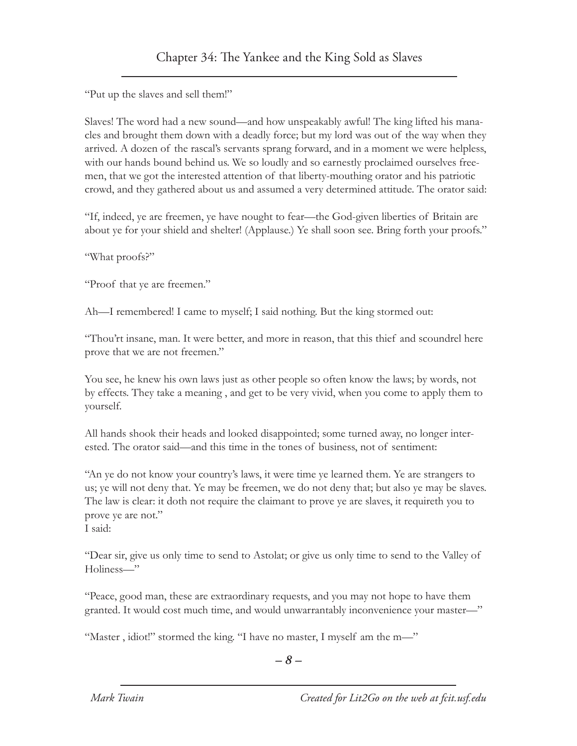"Put up the slaves and sell them!"

Slaves! The word had a new sound—and how unspeakably awful! The king lifted his manacles and brought them down with a deadly force; but my lord was out of the way when they arrived. A dozen of the rascal's servants sprang forward, and in a moment we were helpless, with our hands bound behind us. We so loudly and so earnestly proclaimed ourselves freemen, that we got the interested attention of that liberty-mouthing orator and his patriotic crowd, and they gathered about us and assumed a very determined attitude. The orator said:

"If, indeed, ye are freemen, ye have nought to fear—the God-given liberties of Britain are about ye for your shield and shelter! (Applause.) Ye shall soon see. Bring forth your proofs."

"What proofs?"

"Proof that ye are freemen."

Ah—I remembered! I came to myself; I said nothing. But the king stormed out:

"Thou'rt insane, man. It were better, and more in reason, that this thief and scoundrel here prove that we are not freemen."

You see, he knew his own laws just as other people so often know the laws; by words, not by effects. They take a meaning , and get to be very vivid, when you come to apply them to yourself.

All hands shook their heads and looked disappointed; some turned away, no longer interested. The orator said—and this time in the tones of business, not of sentiment:

"An ye do not know your country's laws, it were time ye learned them. Ye are strangers to us; ye will not deny that. Ye may be freemen, we do not deny that; but also ye may be slaves. The law is clear: it doth not require the claimant to prove ye are slaves, it requireth you to prove ye are not."

I said:

"Dear sir, give us only time to send to Astolat; or give us only time to send to the Valley of Holiness—"

"Peace, good man, these are extraordinary requests, and you may not hope to have them granted. It would cost much time, and would unwarrantably inconvenience your master—"

"Master, idiot!" stormed the king. "I have no master, I myself am the m-"